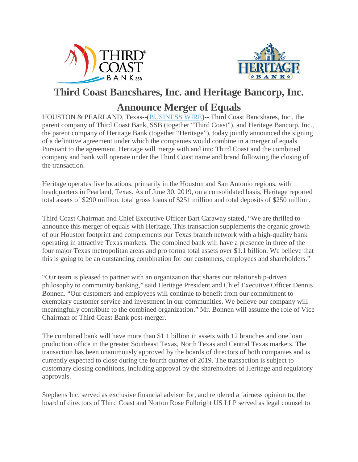



## **Third Coast Bancshares, Inc. and Heritage Bancorp, Inc.**

## **Announce Merger of Equals**

HOUSTON & PEARLAND, Texas--[\(BUSINESS WIRE\)](http://www.businesswire.com/)-- Third Coast Bancshares, Inc., the parent company of Third Coast Bank, SSB (together "Third Coast"), and Heritage Bancorp, Inc., the parent company of Heritage Bank (together "Heritage"), today jointly announced the signing of a definitive agreement under which the companies would combine in a merger of equals. Pursuant to the agreement, Heritage will merge with and into Third Coast and the combined company and bank will operate under the Third Coast name and brand following the closing of the transaction.

Heritage operates five locations, primarily in the Houston and San Antonio regions, with headquarters in Pearland, Texas. As of June 30, 2019, on a consolidated basis, Heritage reported total assets of \$290 million, total gross loans of \$251 million and total deposits of \$250 million.

Third Coast Chairman and Chief Executive Officer Bart Caraway stated, "We are thrilled to announce this merger of equals with Heritage. This transaction supplements the organic growth of our Houston footprint and complements our Texas branch network with a high-quality bank operating in attractive Texas markets. The combined bank will have a presence in three of the four major Texas metropolitan areas and pro forma total assets over \$1.1 billion. We believe that this is going to be an outstanding combination for our customers, employees and shareholders."

"Our team is pleased to partner with an organization that shares our relationship-driven philosophy to community banking," said Heritage President and Chief Executive Officer Dennis Bonnen. "Our customers and employees will continue to benefit from our commitment to exemplary customer service and investment in our communities. We believe our company will meaningfully contribute to the combined organization." Mr. Bonnen will assume the role of Vice Chairman of Third Coast Bank post-merger.

The combined bank will have more than \$1.1 billion in assets with 12 branches and one loan production office in the greater Southeast Texas, North Texas and Central Texas markets. The transaction has been unanimously approved by the boards of directors of both companies and is currently expected to close during the fourth quarter of 2019. The transaction is subject to customary closing conditions, including approval by the shareholders of Heritage and regulatory approvals.

Stephens Inc. served as exclusive financial advisor for, and rendered a fairness opinion to, the board of directors of Third Coast and Norton Rose Fulbright US LLP served as legal counsel to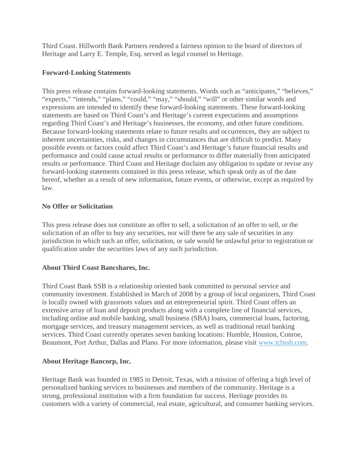Third Coast. Hillworth Bank Partners rendered a fairness opinion to the board of directors of Heritage and Larry E. Temple, Esq. served as legal counsel to Heritage.

#### **Forward-Looking Statements**

This press release contains forward-looking statements. Words such as "anticipates," "believes," "expects," "intends," "plans," "could," "may," "should," "will" or other similar words and expressions are intended to identify these forward-looking statements. These forward-looking statements are based on Third Coast's and Heritage's current expectations and assumptions regarding Third Coast's and Heritage's businesses, the economy, and other future conditions. Because forward-looking statements relate to future results and occurrences, they are subject to inherent uncertainties, risks, and changes in circumstances that are difficult to predict. Many possible events or factors could affect Third Coast's and Heritage's future financial results and performance and could cause actual results or performance to differ materially from anticipated results or performance. Third Coast and Heritage disclaim any obligation to update or revise any forward-looking statements contained in this press release, which speak only as of the date hereof, whether as a result of new information, future events, or otherwise, except as required by law.

#### **No Offer or Solicitation**

This press release does not constitute an offer to sell, a solicitation of an offer to sell, or the solicitation of an offer to buy any securities, nor will there be any sale of securities in any jurisdiction in which such an offer, solicitation, or sale would be unlawful prior to registration or qualification under the securities laws of any such jurisdiction.

#### **About Third Coast Bancshares, Inc.**

Third Coast Bank SSB is a relationship oriented bank committed to personal service and community investment. Established in March of 2008 by a group of local organizers, Third Coast is locally owned with grassroots values and an entrepreneurial spirit. Third Coast offers an extensive array of loan and deposit products along with a complete line of financial services, including online and mobile banking, small business (SBA) loans, commercial loans, factoring, mortgage services, and treasury management services, as well as traditional retail banking services. Third Coast currently operates seven banking locations: Humble, Houston, Conroe, Beaumont, Port Arthur, Dallas and Plano. For more information, please visit [www.tcbssb.com.](https://cts.businesswire.com/ct/CT?id=smartlink&url=http%3A%2F%2Fwww.tcbssb.com&esheet=52091801&lan=en-US&anchor=www.tcbssb.com&index=1&md5=899040603670858895b1cdb021e9c579)

#### **About Heritage Bancorp, Inc.**

Heritage Bank was founded in 1985 in Detroit, Texas, with a mission of offering a high level of personalized banking services to businesses and members of the community. Heritage is a strong, professional institution with a firm foundation for success. Heritage provides its customers with a variety of commercial, real estate, agricultural, and consumer banking services.